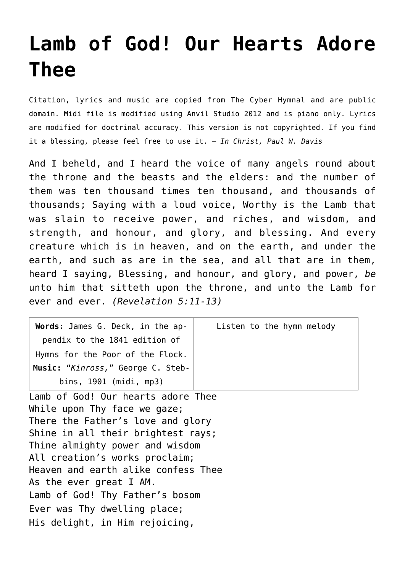## **[Lamb of God! Our Hearts Adore](http://reproachofmen.org/hymns-and-music/lamb-of-god-our-hearts-adore-thee/) [Thee](http://reproachofmen.org/hymns-and-music/lamb-of-god-our-hearts-adore-thee/)**

Citation, lyrics and music are copied from [The Cyber Hymnal](http://www.hymntime.com/tch/index.htm) and are public domain. Midi file is modified using Anvil Studio 2012 and is piano only. Lyrics are modified for doctrinal accuracy. This version is not copyrighted. If you find it a blessing, please feel free to use it. — *In Christ, Paul W. Davis*

And I beheld, and I heard the voice of many angels round about the throne and the beasts and the elders: and the number of them was ten thousand times ten thousand, and thousands of thousands; Saying with a loud voice, Worthy is the Lamb that was slain to receive power, and riches, and wisdom, and strength, and honour, and glory, and blessing. And every creature which is in heaven, and on the earth, and under the earth, and such as are in the sea, and all that are in them, heard I saying, Blessing, and honour, and glory, and power, *be* unto him that sitteth upon the throne, and unto the Lamb for ever and ever. *(Revelation 5:11-13)*

| Words: James G. Deck, in the ap-  | Listen to the hymn melody |
|-----------------------------------|---------------------------|
| pendix to the 1841 edition of     |                           |
| Hymns for the Poor of the Flock.  |                           |
| Music: "Kinross," George C. Steb- |                           |
| bins, $1901$ (midi, mp3)          |                           |

Lamb of God! Our hearts adore Thee While upon Thy face we gaze; There the Father's love and glory Shine in all their brightest rays; Thine almighty power and wisdom All creation's works proclaim; Heaven and earth alike confess Thee As the ever great I AM. Lamb of God! Thy Father's bosom Ever was Thy dwelling place; His delight, in Him rejoicing,